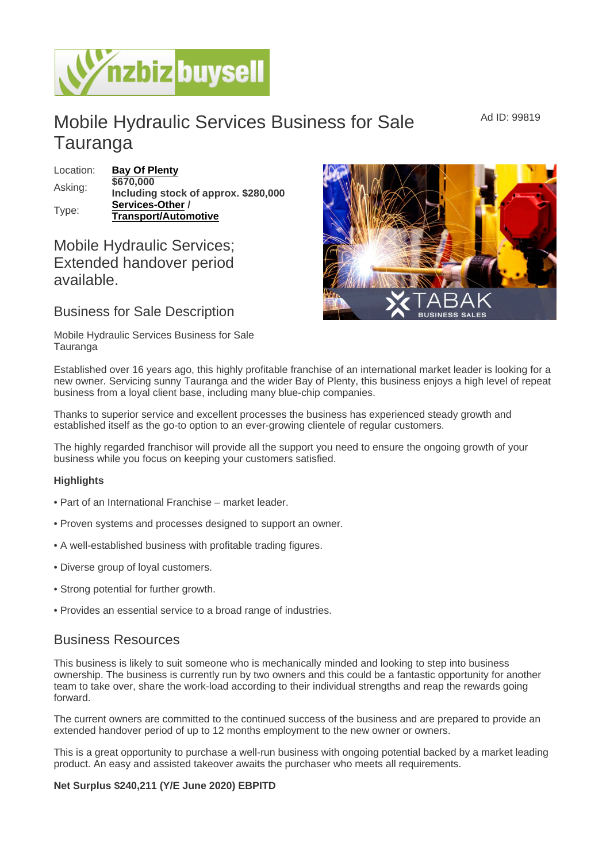## Mobile Hydraulic Services Business for Sale Tauranga

| Location: | Bay Of Plenty                        |
|-----------|--------------------------------------|
| Asking:   | \$670,000                            |
|           | Including stock of approx. \$280,000 |
| Type:     | Services-Other                       |
|           | Transport/Automotive                 |

## Mobile Hydraulic Services; Extended handover period available.

Business for Sale Description

Mobile Hydraulic Services Business for Sale Tauranga

Established over 16 years ago, this highly profitable franchise of an international market leader is looking for a new owner. Servicing sunny Tauranga and the wider Bay of Plenty, this business enjoys a high level of repeat business from a loyal client base, including many blue-chip companies.

Thanks to superior service and excellent processes the business has experienced steady growth and established itself as the go-to option to an ever-growing clientele of regular customers.

The highly regarded franchisor will provide all the support you need to ensure the ongoing growth of your business while you focus on keeping your customers satisfied.

**Highlights** 

- Part of an International Franchise market leader.
- Proven systems and processes designed to support an owner.
- A well-established business with profitable trading figures.
- Diverse group of loyal customers.
- Strong potential for further growth.
- Provides an essential service to a broad range of industries.

## Business Resources

This business is likely to suit someone who is mechanically minded and looking to step into business ownership. The business is currently run by two owners and this could be a fantastic opportunity for another team to take over, share the work-load according to their individual strengths and reap the rewards going forward.

The current owners are committed to the continued success of the business and are prepared to provide an extended handover period of up to 12 months employment to the new owner or owners.

This is a great opportunity to purchase a well-run business with ongoing potential backed by a market leading product. An easy and assisted takeover awaits the purchaser who meets all requirements.

Net Surplus \$240,211 (Y/E June 2020) EBPITD